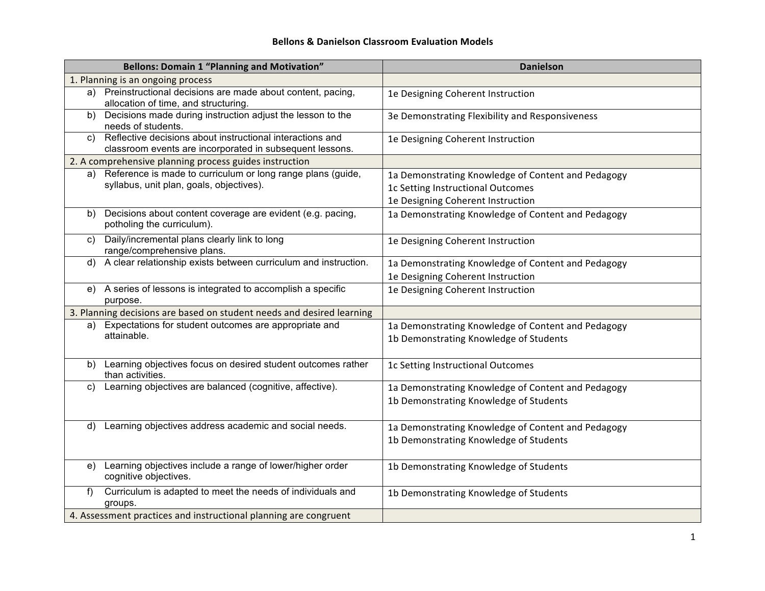## **Bellons'&'Danielson'Classroom'Evaluation'Models**

|    | <b>Bellons: Domain 1 "Planning and Motivation"</b>                                                                    | <b>Danielson</b>                                                                                                             |
|----|-----------------------------------------------------------------------------------------------------------------------|------------------------------------------------------------------------------------------------------------------------------|
|    | 1. Planning is an ongoing process                                                                                     |                                                                                                                              |
|    | a) Preinstructional decisions are made about content, pacing,<br>allocation of time, and structuring.                 | 1e Designing Coherent Instruction                                                                                            |
| b) | Decisions made during instruction adjust the lesson to the<br>needs of students.                                      | 3e Demonstrating Flexibility and Responsiveness                                                                              |
| C) | Reflective decisions about instructional interactions and<br>classroom events are incorporated in subsequent lessons. | 1e Designing Coherent Instruction                                                                                            |
|    | 2. A comprehensive planning process guides instruction                                                                |                                                                                                                              |
| a) | Reference is made to curriculum or long range plans (guide,<br>syllabus, unit plan, goals, objectives).               | 1a Demonstrating Knowledge of Content and Pedagogy<br>1c Setting Instructional Outcomes<br>1e Designing Coherent Instruction |
| b) | Decisions about content coverage are evident (e.g. pacing,<br>potholing the curriculum).                              | 1a Demonstrating Knowledge of Content and Pedagogy                                                                           |
| C) | Daily/incremental plans clearly link to long<br>range/comprehensive plans.                                            | 1e Designing Coherent Instruction                                                                                            |
| d) | A clear relationship exists between curriculum and instruction.                                                       | 1a Demonstrating Knowledge of Content and Pedagogy<br>1e Designing Coherent Instruction                                      |
| e) | A series of lessons is integrated to accomplish a specific<br>purpose.                                                | 1e Designing Coherent Instruction                                                                                            |
|    | 3. Planning decisions are based on student needs and desired learning                                                 |                                                                                                                              |
| a) | Expectations for student outcomes are appropriate and<br>attainable.                                                  | 1a Demonstrating Knowledge of Content and Pedagogy<br>1b Demonstrating Knowledge of Students                                 |
| b) | Learning objectives focus on desired student outcomes rather<br>than activities.                                      | 1c Setting Instructional Outcomes                                                                                            |
| C) | Learning objectives are balanced (cognitive, affective).                                                              | 1a Demonstrating Knowledge of Content and Pedagogy<br>1b Demonstrating Knowledge of Students                                 |
| d) | Learning objectives address academic and social needs.                                                                | 1a Demonstrating Knowledge of Content and Pedagogy<br>1b Demonstrating Knowledge of Students                                 |
|    | e) Learning objectives include a range of lower/higher order<br>cognitive objectives.                                 | 1b Demonstrating Knowledge of Students                                                                                       |
| f  | Curriculum is adapted to meet the needs of individuals and<br>groups.                                                 | 1b Demonstrating Knowledge of Students                                                                                       |
|    | 4. Assessment practices and instructional planning are congruent                                                      |                                                                                                                              |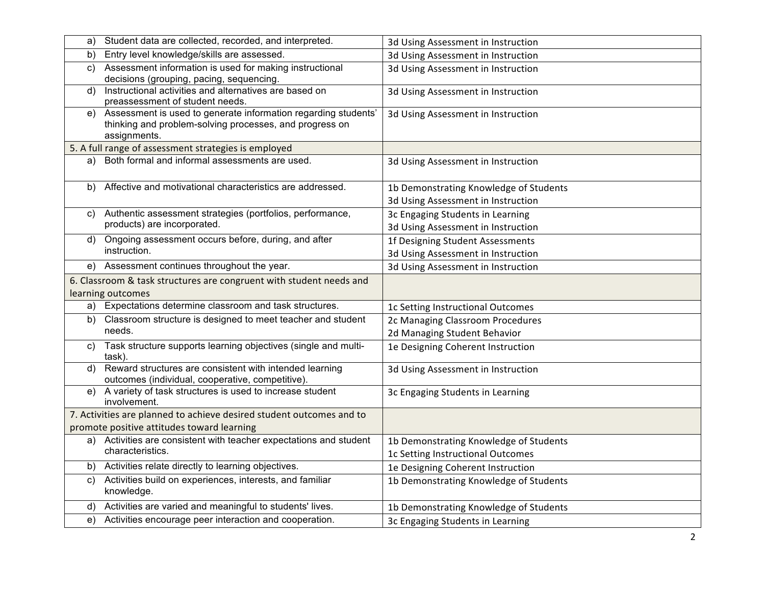| a) | Student data are collected, recorded, and interpreted.                                                                                    | 3d Using Assessment in Instruction                                           |
|----|-------------------------------------------------------------------------------------------------------------------------------------------|------------------------------------------------------------------------------|
| b) | Entry level knowledge/skills are assessed.                                                                                                | 3d Using Assessment in Instruction                                           |
| C) | Assessment information is used for making instructional<br>decisions (grouping, pacing, sequencing.                                       | 3d Using Assessment in Instruction                                           |
| d) | Instructional activities and alternatives are based on<br>preassessment of student needs.                                                 | 3d Using Assessment in Instruction                                           |
| e) | Assessment is used to generate information regarding students'<br>thinking and problem-solving processes, and progress on<br>assignments. | 3d Using Assessment in Instruction                                           |
|    | 5. A full range of assessment strategies is employed                                                                                      |                                                                              |
|    | a) Both formal and informal assessments are used.                                                                                         | 3d Using Assessment in Instruction                                           |
|    | b) Affective and motivational characteristics are addressed.                                                                              | 1b Demonstrating Knowledge of Students<br>3d Using Assessment in Instruction |
| C) | Authentic assessment strategies (portfolios, performance,<br>products) are incorporated.                                                  | 3c Engaging Students in Learning<br>3d Using Assessment in Instruction       |
|    | d) Ongoing assessment occurs before, during, and after<br>instruction.                                                                    | 1f Designing Student Assessments<br>3d Using Assessment in Instruction       |
|    | e) Assessment continues throughout the year.                                                                                              | 3d Using Assessment in Instruction                                           |
|    | 6. Classroom & task structures are congruent with student needs and                                                                       |                                                                              |
|    | learning outcomes                                                                                                                         |                                                                              |
| a) | Expectations determine classroom and task structures.                                                                                     | 1c Setting Instructional Outcomes                                            |
| b) | Classroom structure is designed to meet teacher and student<br>needs.                                                                     | 2c Managing Classroom Procedures<br>2d Managing Student Behavior             |
| C) | Task structure supports learning objectives (single and multi-<br>task).                                                                  | 1e Designing Coherent Instruction                                            |
| d) | Reward structures are consistent with intended learning<br>outcomes (individual, cooperative, competitive).                               | 3d Using Assessment in Instruction                                           |
|    | e) A variety of task structures is used to increase student<br>involvement.                                                               | 3c Engaging Students in Learning                                             |
|    | 7. Activities are planned to achieve desired student outcomes and to                                                                      |                                                                              |
|    | promote positive attitudes toward learning                                                                                                |                                                                              |
|    | a) Activities are consistent with teacher expectations and student<br>characteristics.                                                    | 1b Demonstrating Knowledge of Students<br>1c Setting Instructional Outcomes  |
|    | b) Activities relate directly to learning objectives.                                                                                     | 1e Designing Coherent Instruction                                            |
| C) | Activities build on experiences, interests, and familiar<br>knowledge.                                                                    | 1b Demonstrating Knowledge of Students                                       |
|    | d) Activities are varied and meaningful to students' lives.                                                                               | 1b Demonstrating Knowledge of Students                                       |
|    | e) Activities encourage peer interaction and cooperation.                                                                                 | 3c Engaging Students in Learning                                             |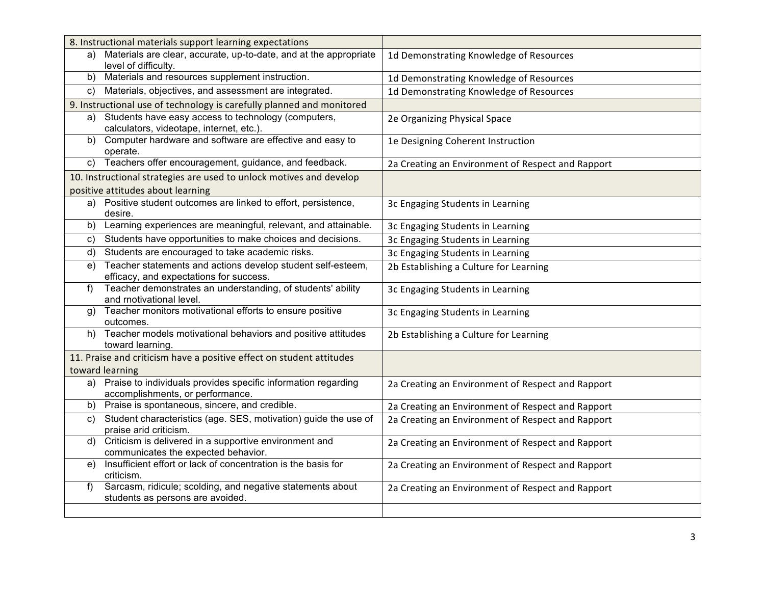|       | 8. Instructional materials support learning expectations                                               |                                                   |
|-------|--------------------------------------------------------------------------------------------------------|---------------------------------------------------|
|       | a) Materials are clear, accurate, up-to-date, and at the appropriate<br>level of difficulty.           | 1d Demonstrating Knowledge of Resources           |
|       | b) Materials and resources supplement instruction.                                                     | 1d Demonstrating Knowledge of Resources           |
| C)    | Materials, objectives, and assessment are integrated.                                                  | 1d Demonstrating Knowledge of Resources           |
|       | 9. Instructional use of technology is carefully planned and monitored                                  |                                                   |
| a)    | Students have easy access to technology (computers,<br>calculators, videotape, internet, etc.).        | 2e Organizing Physical Space                      |
| b)    | Computer hardware and software are effective and easy to<br>operate.                                   | 1e Designing Coherent Instruction                 |
| C)    | Teachers offer encouragement, guidance, and feedback.                                                  | 2a Creating an Environment of Respect and Rapport |
|       | 10. Instructional strategies are used to unlock motives and develop                                    |                                                   |
|       | positive attitudes about learning                                                                      |                                                   |
|       | a) Positive student outcomes are linked to effort, persistence,<br>desire.                             | 3c Engaging Students in Learning                  |
| b)    | Learning experiences are meaningful, relevant, and attainable.                                         | 3c Engaging Students in Learning                  |
| C)    | Students have opportunities to make choices and decisions.                                             | 3c Engaging Students in Learning                  |
| d)    | Students are encouraged to take academic risks.                                                        | 3c Engaging Students in Learning                  |
| e)    | Teacher statements and actions develop student self-esteem,<br>efficacy, and expectations for success. | 2b Establishing a Culture for Learning            |
| $f$ ) | Teacher demonstrates an understanding, of students' ability<br>and rnotivational level.                | 3c Engaging Students in Learning                  |
| g)    | Teacher monitors motivational efforts to ensure positive<br>outcomes.                                  | 3c Engaging Students in Learning                  |
|       | h) Teacher models motivational behaviors and positive attitudes<br>toward learning.                    | 2b Establishing a Culture for Learning            |
|       | 11. Praise and criticism have a positive effect on student attitudes                                   |                                                   |
|       | toward learning                                                                                        |                                                   |
| a)    | Praise to individuals provides specific information regarding<br>accomplishments, or performance.      | 2a Creating an Environment of Respect and Rapport |
| b)    | Praise is spontaneous, sincere, and credible.                                                          | 2a Creating an Environment of Respect and Rapport |
| C)    | Student characteristics (age. SES, motivation) guide the use of<br>praise arid criticism.              | 2a Creating an Environment of Respect and Rapport |
| d)    | Criticism is delivered in a supportive environment and<br>communicates the expected behavior.          | 2a Creating an Environment of Respect and Rapport |
|       | e) Insufficient effort or lack of concentration is the basis for<br>criticism.                         | 2a Creating an Environment of Respect and Rapport |
| f     | Sarcasm, ridicule; scolding, and negative statements about<br>students as persons are avoided.         | 2a Creating an Environment of Respect and Rapport |
|       |                                                                                                        |                                                   |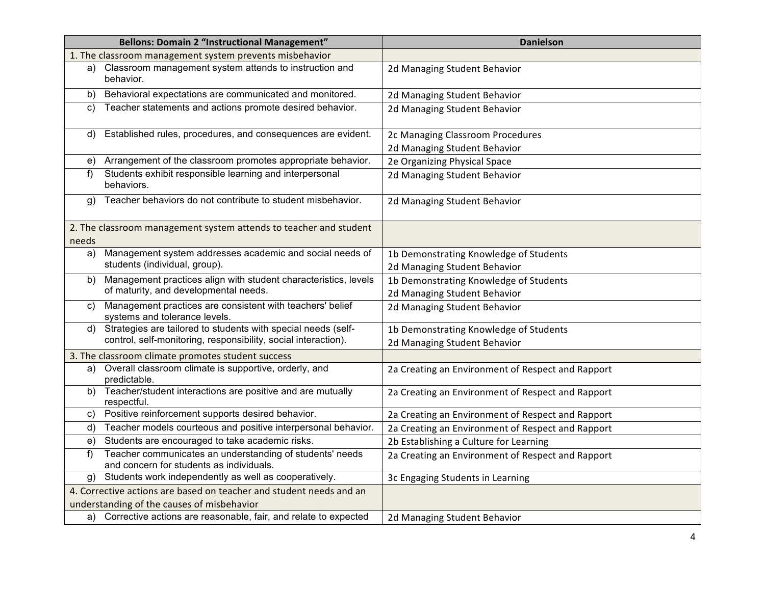|       | <b>Bellons: Domain 2 "Instructional Management"</b>                                                                             | <b>Danielson</b>                                                       |
|-------|---------------------------------------------------------------------------------------------------------------------------------|------------------------------------------------------------------------|
|       | 1. The classroom management system prevents misbehavior                                                                         |                                                                        |
| a)    | Classroom management system attends to instruction and<br>behavior.                                                             | 2d Managing Student Behavior                                           |
| b)    | Behavioral expectations are communicated and monitored.                                                                         | 2d Managing Student Behavior                                           |
| C)    | Teacher statements and actions promote desired behavior.                                                                        | 2d Managing Student Behavior                                           |
| d)    | Established rules, procedures, and consequences are evident.                                                                    | 2c Managing Classroom Procedures<br>2d Managing Student Behavior       |
| e)    | Arrangement of the classroom promotes appropriate behavior.                                                                     | 2e Organizing Physical Space                                           |
| f)    | Students exhibit responsible learning and interpersonal<br>behaviors.                                                           | 2d Managing Student Behavior                                           |
| g)    | Teacher behaviors do not contribute to student misbehavior.                                                                     | 2d Managing Student Behavior                                           |
| needs | 2. The classroom management system attends to teacher and student                                                               |                                                                        |
| a)    | Management system addresses academic and social needs of<br>students (individual, group).                                       | 1b Demonstrating Knowledge of Students<br>2d Managing Student Behavior |
| b)    | Management practices align with student characteristics, levels<br>of maturity, and developmental needs.                        | 1b Demonstrating Knowledge of Students<br>2d Managing Student Behavior |
| C)    | Management practices are consistent with teachers' belief<br>systems and tolerance levels.                                      | 2d Managing Student Behavior                                           |
| d)    | Strategies are tailored to students with special needs (self-<br>control, self-monitoring, responsibility, social interaction). | 1b Demonstrating Knowledge of Students<br>2d Managing Student Behavior |
|       | 3. The classroom climate promotes student success                                                                               |                                                                        |
| a)    | Overall classroom climate is supportive, orderly, and<br>predictable.                                                           | 2a Creating an Environment of Respect and Rapport                      |
|       | b) Teacher/student interactions are positive and are mutually<br>respectful.                                                    | 2a Creating an Environment of Respect and Rapport                      |
| C)    | Positive reinforcement supports desired behavior.                                                                               | 2a Creating an Environment of Respect and Rapport                      |
| d)    | Teacher models courteous and positive interpersonal behavior.                                                                   | 2a Creating an Environment of Respect and Rapport                      |
| e)    | Students are encouraged to take academic risks.                                                                                 | 2b Establishing a Culture for Learning                                 |
| f     | Teacher communicates an understanding of students' needs<br>and concern for students as individuals.                            | 2a Creating an Environment of Respect and Rapport                      |
| a)    | Students work independently as well as cooperatively.                                                                           | 3c Engaging Students in Learning                                       |
|       | 4. Corrective actions are based on teacher and student needs and an                                                             |                                                                        |
|       | understanding of the causes of misbehavior                                                                                      |                                                                        |
|       | a) Corrective actions are reasonable, fair, and relate to expected                                                              | 2d Managing Student Behavior                                           |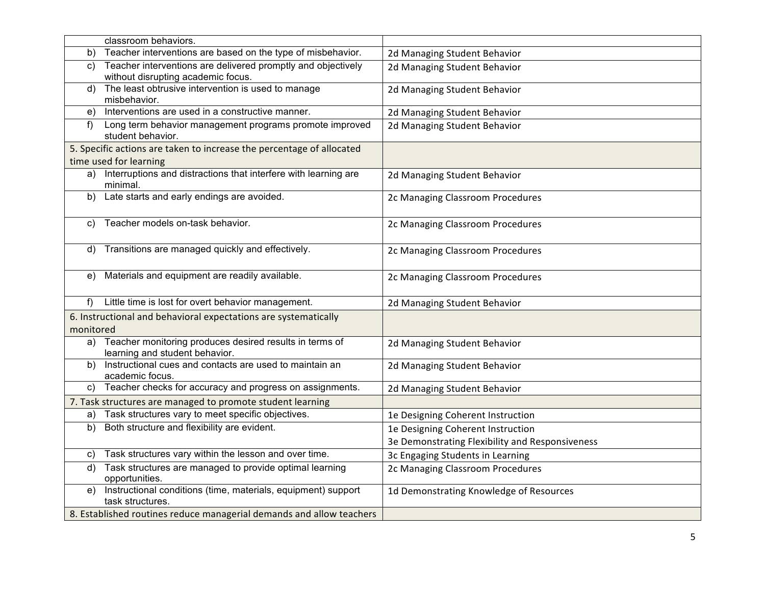|           | classroom behaviors.                                                                               |                                                 |
|-----------|----------------------------------------------------------------------------------------------------|-------------------------------------------------|
| b)        | Teacher interventions are based on the type of misbehavior.                                        | 2d Managing Student Behavior                    |
| C)        | Teacher interventions are delivered promptly and objectively<br>without disrupting academic focus. | 2d Managing Student Behavior                    |
| d)        | The least obtrusive intervention is used to manage<br>misbehavior.                                 | 2d Managing Student Behavior                    |
| e)        | Interventions are used in a constructive manner.                                                   | 2d Managing Student Behavior                    |
| f         | Long term behavior management programs promote improved<br>student behavior.                       | 2d Managing Student Behavior                    |
|           | 5. Specific actions are taken to increase the percentage of allocated                              |                                                 |
|           | time used for learning                                                                             |                                                 |
|           | a) Interruptions and distractions that interfere with learning are<br>minimal.                     | 2d Managing Student Behavior                    |
| b)        | Late starts and early endings are avoided.                                                         | 2c Managing Classroom Procedures                |
| C)        | Teacher models on-task behavior.                                                                   | 2c Managing Classroom Procedures                |
|           | d) Transitions are managed quickly and effectively.                                                | 2c Managing Classroom Procedures                |
| e)        | Materials and equipment are readily available.                                                     | 2c Managing Classroom Procedures                |
| f         | Little time is lost for overt behavior management.                                                 | 2d Managing Student Behavior                    |
| monitored | 6. Instructional and behavioral expectations are systematically                                    |                                                 |
| a)        | Teacher monitoring produces desired results in terms of<br>learning and student behavior.          | 2d Managing Student Behavior                    |
| b)        | Instructional cues and contacts are used to maintain an<br>academic focus.                         | 2d Managing Student Behavior                    |
| C)        | Teacher checks for accuracy and progress on assignments.                                           | 2d Managing Student Behavior                    |
|           | 7. Task structures are managed to promote student learning                                         |                                                 |
| a)        | Task structures vary to meet specific objectives.                                                  | 1e Designing Coherent Instruction               |
| b)        | Both structure and flexibility are evident.                                                        | 1e Designing Coherent Instruction               |
|           |                                                                                                    | 3e Demonstrating Flexibility and Responsiveness |
| C)        | Task structures vary within the lesson and over time.                                              | 3c Engaging Students in Learning                |
| d)        | Task structures are managed to provide optimal learning<br>opportunities.                          | 2c Managing Classroom Procedures                |
| e)        | Instructional conditions (time, materials, equipment) support<br>task structures.                  | 1d Demonstrating Knowledge of Resources         |
|           | 8. Established routines reduce managerial demands and allow teachers                               |                                                 |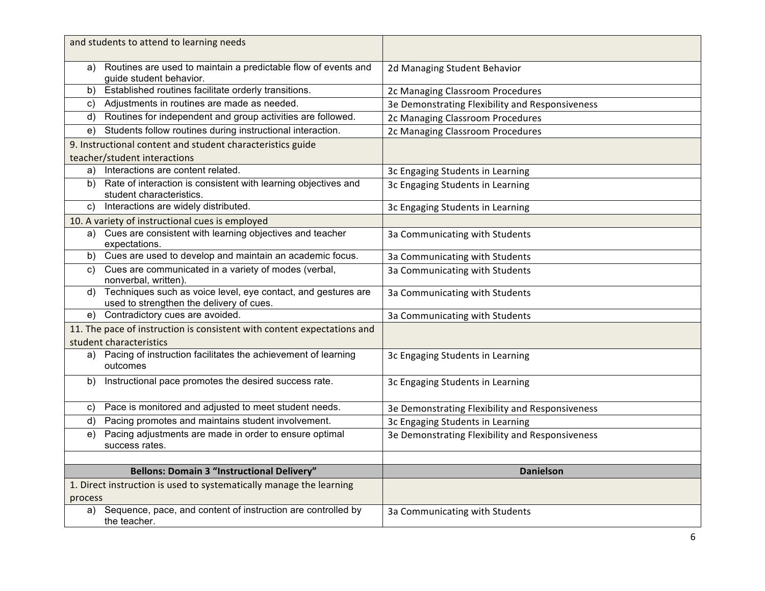| and students to attend to learning needs                                                                                  |                                                 |
|---------------------------------------------------------------------------------------------------------------------------|-------------------------------------------------|
| a) Routines are used to maintain a predictable flow of events and<br>guide student behavior.                              | 2d Managing Student Behavior                    |
| Established routines facilitate orderly transitions.<br>b)                                                                | 2c Managing Classroom Procedures                |
| Adjustments in routines are made as needed.<br>C)                                                                         | 3e Demonstrating Flexibility and Responsiveness |
| Routines for independent and group activities are followed.<br>d)                                                         | 2c Managing Classroom Procedures                |
| Students follow routines during instructional interaction.<br>e)                                                          | 2c Managing Classroom Procedures                |
| 9. Instructional content and student characteristics guide                                                                |                                                 |
| teacher/student interactions                                                                                              |                                                 |
| a) Interactions are content related.                                                                                      | 3c Engaging Students in Learning                |
| b) Rate of interaction is consistent with learning objectives and<br>student characteristics.                             | 3c Engaging Students in Learning                |
| Interactions are widely distributed.<br>C)                                                                                | 3c Engaging Students in Learning                |
| 10. A variety of instructional cues is employed                                                                           |                                                 |
| a) Cues are consistent with learning objectives and teacher<br>expectations.                                              | 3a Communicating with Students                  |
| b) Cues are used to develop and maintain an academic focus.                                                               | 3a Communicating with Students                  |
| Cues are communicated in a variety of modes (verbal,<br>C)<br>nonverbal, written).                                        | 3a Communicating with Students                  |
| Techniques such as voice level, eye contact, and gestures are<br>$\mathsf{d}$<br>used to strengthen the delivery of cues. | 3a Communicating with Students                  |
| Contradictory cues are avoided.<br>e)                                                                                     | 3a Communicating with Students                  |
| 11. The pace of instruction is consistent with content expectations and                                                   |                                                 |
| student characteristics                                                                                                   |                                                 |
| a) Pacing of instruction facilitates the achievement of learning<br>outcomes                                              | 3c Engaging Students in Learning                |
| Instructional pace promotes the desired success rate.<br>b)                                                               | 3c Engaging Students in Learning                |
| Pace is monitored and adjusted to meet student needs.<br>C)                                                               | 3e Demonstrating Flexibility and Responsiveness |
| Pacing promotes and maintains student involvement.<br>d)                                                                  | 3c Engaging Students in Learning                |
| Pacing adjustments are made in order to ensure optimal<br>e)<br>success rates.                                            | 3e Demonstrating Flexibility and Responsiveness |
|                                                                                                                           |                                                 |
| <b>Bellons: Domain 3 "Instructional Delivery"</b>                                                                         | <b>Danielson</b>                                |
| 1. Direct instruction is used to systematically manage the learning                                                       |                                                 |
| process                                                                                                                   |                                                 |
| a) Sequence, pace, and content of instruction are controlled by<br>the teacher.                                           | 3a Communicating with Students                  |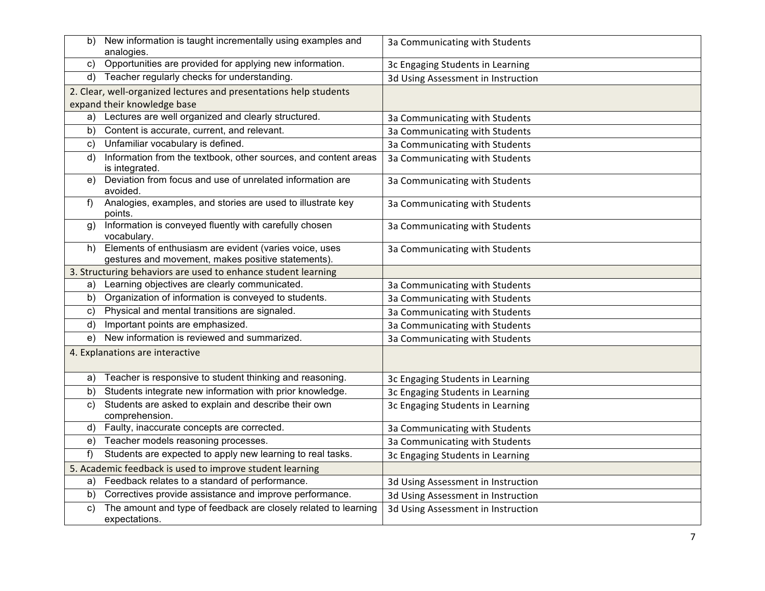| b) | New information is taught incrementally using examples and<br>analogies.                                        | 3a Communicating with Students     |
|----|-----------------------------------------------------------------------------------------------------------------|------------------------------------|
| C) | Opportunities are provided for applying new information.                                                        | 3c Engaging Students in Learning   |
|    | d) Teacher regularly checks for understanding.                                                                  | 3d Using Assessment in Instruction |
|    | 2. Clear, well-organized lectures and presentations help students                                               |                                    |
|    | expand their knowledge base                                                                                     |                                    |
| a) | Lectures are well organized and clearly structured.                                                             | 3a Communicating with Students     |
| b) | Content is accurate, current, and relevant.                                                                     | 3a Communicating with Students     |
| C) | Unfamiliar vocabulary is defined.                                                                               | 3a Communicating with Students     |
| d) | Information from the textbook, other sources, and content areas<br>is integrated                                | 3a Communicating with Students     |
| e) | Deviation from focus and use of unrelated information are<br>avoided.                                           | 3a Communicating with Students     |
| f) | Analogies, examples, and stories are used to illustrate key<br>points.                                          | 3a Communicating with Students     |
| g) | Information is conveyed fluently with carefully chosen<br>vocabulary.                                           | 3a Communicating with Students     |
|    | h) Elements of enthusiasm are evident (varies voice, uses<br>gestures and movement, makes positive statements). | 3a Communicating with Students     |
|    | 3. Structuring behaviors are used to enhance student learning                                                   |                                    |
| a) | Learning objectives are clearly communicated.                                                                   | 3a Communicating with Students     |
| b) | Organization of information is conveyed to students.                                                            | 3a Communicating with Students     |
| C) | Physical and mental transitions are signaled.                                                                   | 3a Communicating with Students     |
| d) | Important points are emphasized.                                                                                | 3a Communicating with Students     |
| e) | New information is reviewed and summarized.                                                                     | 3a Communicating with Students     |
|    | 4. Explanations are interactive                                                                                 |                                    |
| a) | Teacher is responsive to student thinking and reasoning.                                                        | 3c Engaging Students in Learning   |
| b) | Students integrate new information with prior knowledge.                                                        | 3c Engaging Students in Learning   |
| C) | Students are asked to explain and describe their own<br>comprehension.                                          | 3c Engaging Students in Learning   |
| d) | Faulty, inaccurate concepts are corrected.                                                                      | 3a Communicating with Students     |
| e) | Teacher models reasoning processes.                                                                             | 3a Communicating with Students     |
| f) | Students are expected to apply new learning to real tasks.                                                      | 3c Engaging Students in Learning   |
|    | 5. Academic feedback is used to improve student learning                                                        |                                    |
| a) | Feedback relates to a standard of performance.                                                                  | 3d Using Assessment in Instruction |
| b) | Correctives provide assistance and improve performance.                                                         | 3d Using Assessment in Instruction |
| C) | The amount and type of feedback are closely related to learning<br>expectations.                                | 3d Using Assessment in Instruction |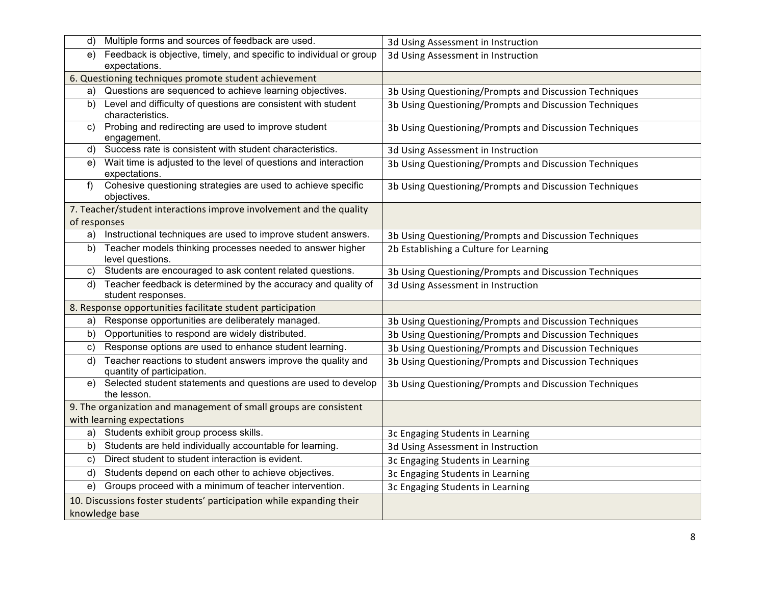| d)           | Multiple forms and sources of feedback are used.                                           | 3d Using Assessment in Instruction                     |
|--------------|--------------------------------------------------------------------------------------------|--------------------------------------------------------|
| e)           | Feedback is objective, timely, and specific to individual or group<br>expectations.        | 3d Using Assessment in Instruction                     |
|              | 6. Questioning techniques promote student achievement                                      |                                                        |
| a)           | Questions are sequenced to achieve learning objectives.                                    | 3b Using Questioning/Prompts and Discussion Techniques |
| b)           | Level and difficulty of questions are consistent with student<br>characteristics.          | 3b Using Questioning/Prompts and Discussion Techniques |
| C)           | Probing and redirecting are used to improve student<br>engagement.                         | 3b Using Questioning/Prompts and Discussion Techniques |
| d)           | Success rate is consistent with student characteristics.                                   | 3d Using Assessment in Instruction                     |
| e)           | Wait time is adjusted to the level of questions and interaction<br>expectations.           | 3b Using Questioning/Prompts and Discussion Techniques |
| f            | Cohesive questioning strategies are used to achieve specific<br>objectives.                | 3b Using Questioning/Prompts and Discussion Techniques |
| of responses | 7. Teacher/student interactions improve involvement and the quality                        |                                                        |
| a)           | Instructional techniques are used to improve student answers.                              | 3b Using Questioning/Prompts and Discussion Techniques |
| b)           | Teacher models thinking processes needed to answer higher<br>level questions.              | 2b Establishing a Culture for Learning                 |
| C)           | Students are encouraged to ask content related questions.                                  | 3b Using Questioning/Prompts and Discussion Techniques |
| d)           | Teacher feedback is determined by the accuracy and quality of<br>student responses.        | 3d Using Assessment in Instruction                     |
|              | 8. Response opportunities facilitate student participation                                 |                                                        |
| a)           | Response opportunities are deliberately managed.                                           | 3b Using Questioning/Prompts and Discussion Techniques |
| b)           | Opportunities to respond are widely distributed.                                           | 3b Using Questioning/Prompts and Discussion Techniques |
| C)           | Response options are used to enhance student learning.                                     | 3b Using Questioning/Prompts and Discussion Techniques |
| d)           | Teacher reactions to student answers improve the quality and<br>quantity of participation. | 3b Using Questioning/Prompts and Discussion Techniques |
|              | e) Selected student statements and questions are used to develop<br>the lesson.            | 3b Using Questioning/Prompts and Discussion Techniques |
|              | 9. The organization and management of small groups are consistent                          |                                                        |
|              | with learning expectations                                                                 |                                                        |
| a)           | Students exhibit group process skills.                                                     | 3c Engaging Students in Learning                       |
| b)           | Students are held individually accountable for learning.                                   | 3d Using Assessment in Instruction                     |
| C)           | Direct student to student interaction is evident.                                          | 3c Engaging Students in Learning                       |
| d)           | Students depend on each other to achieve objectives.                                       | 3c Engaging Students in Learning                       |
| e)           | Groups proceed with a minimum of teacher intervention.                                     | 3c Engaging Students in Learning                       |
|              | 10. Discussions foster students' participation while expanding their<br>knowledge base     |                                                        |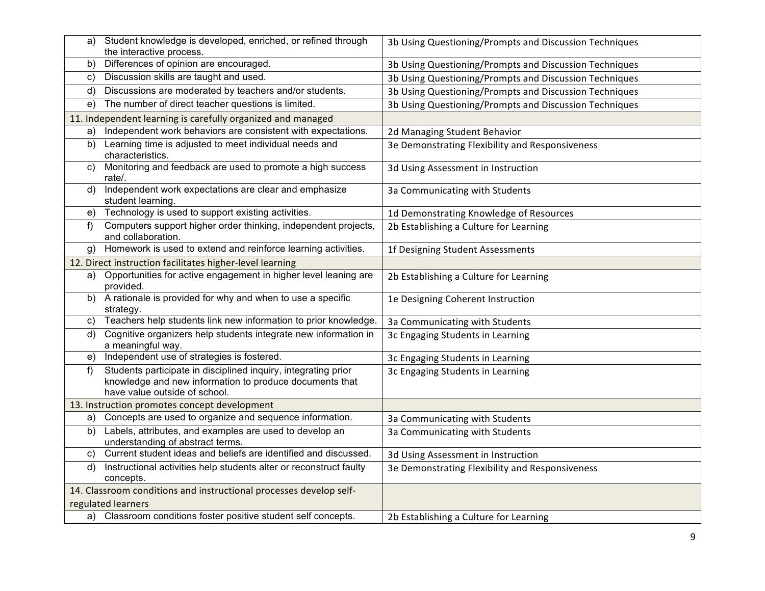| a) | Student knowledge is developed, enriched, or refined through<br>the interactive process.                                                                   | 3b Using Questioning/Prompts and Discussion Techniques |
|----|------------------------------------------------------------------------------------------------------------------------------------------------------------|--------------------------------------------------------|
| b) | Differences of opinion are encouraged.                                                                                                                     | 3b Using Questioning/Prompts and Discussion Techniques |
| C) | Discussion skills are taught and used.                                                                                                                     | 3b Using Questioning/Prompts and Discussion Techniques |
| d) | Discussions are moderated by teachers and/or students.                                                                                                     | 3b Using Questioning/Prompts and Discussion Techniques |
| e) | The number of direct teacher questions is limited.                                                                                                         | 3b Using Questioning/Prompts and Discussion Techniques |
|    | 11. Independent learning is carefully organized and managed                                                                                                |                                                        |
| a) | Independent work behaviors are consistent with expectations.                                                                                               | 2d Managing Student Behavior                           |
| b) | Learning time is adjusted to meet individual needs and<br>characteristics.                                                                                 | 3e Demonstrating Flexibility and Responsiveness        |
| C) | Monitoring and feedback are used to promote a high success<br>rate/.                                                                                       | 3d Using Assessment in Instruction                     |
| d) | Independent work expectations are clear and emphasize<br>student learning.                                                                                 | 3a Communicating with Students                         |
| e) | Technology is used to support existing activities.                                                                                                         | 1d Demonstrating Knowledge of Resources                |
| f  | Computers support higher order thinking, independent projects,<br>and collaboration.                                                                       | 2b Establishing a Culture for Learning                 |
| g) | Homework is used to extend and reinforce learning activities.                                                                                              | 1f Designing Student Assessments                       |
|    | 12. Direct instruction facilitates higher-level learning                                                                                                   |                                                        |
| a) | Opportunities for active engagement in higher level leaning are<br>provided.                                                                               | 2b Establishing a Culture for Learning                 |
| b) | A rationale is provided for why and when to use a specific<br>strategy.                                                                                    | 1e Designing Coherent Instruction                      |
| C) | Teachers help students link new information to prior knowledge.                                                                                            | 3a Communicating with Students                         |
| d) | Cognitive organizers help students integrate new information in<br>a meaningful way.                                                                       | 3c Engaging Students in Learning                       |
| e) | Independent use of strategies is fostered.                                                                                                                 | 3c Engaging Students in Learning                       |
| f  | Students participate in disciplined inquiry, integrating prior<br>knowledge and new information to produce documents that<br>have value outside of school. | 3c Engaging Students in Learning                       |
|    | 13. Instruction promotes concept development                                                                                                               |                                                        |
| a) | Concepts are used to organize and sequence information.                                                                                                    | 3a Communicating with Students                         |
| b) | Labels, attributes, and examples are used to develop an<br>understanding of abstract terms.                                                                | 3a Communicating with Students                         |
| C) | Current student ideas and beliefs are identified and discussed.                                                                                            | 3d Using Assessment in Instruction                     |
| d) | Instructional activities help students alter or reconstruct faulty<br>concepts.                                                                            | 3e Demonstrating Flexibility and Responsiveness        |
|    | 14. Classroom conditions and instructional processes develop self-                                                                                         |                                                        |
|    | regulated learners                                                                                                                                         |                                                        |
|    | a) Classroom conditions foster positive student self concepts.                                                                                             | 2b Establishing a Culture for Learning                 |